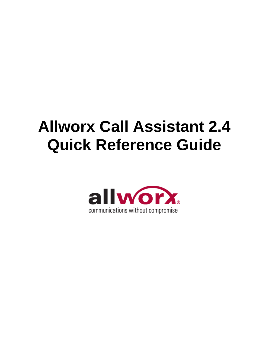# **Allworx Call Assistant 2.4 Quick Reference Guide**

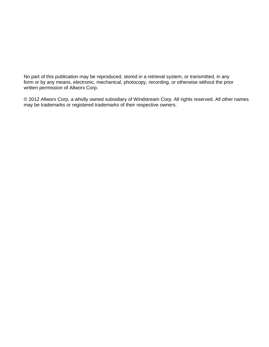No part of this publication may be reproduced, stored in a retrieval system, or transmitted, in any form or by any means, electronic, mechanical, photocopy, recording, or otherwise without the prior written permission of Allworx Corp.

© 2012 Allworx Corp, a wholly owned subsidiary of Windstream Corp. All rights reserved. All other names may be trademarks or registered trademarks of their respective owners.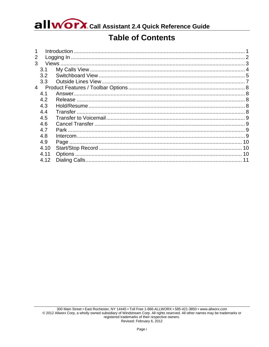allworx. Call Assistant 2.4 Quick Reference Guide

### **Table of Contents**

| 1              |      |  |
|----------------|------|--|
| 2              |      |  |
| 3              |      |  |
|                | 3.1  |  |
|                | 3.2  |  |
|                | 3.3  |  |
| $\overline{4}$ |      |  |
|                | 4.1  |  |
|                | 4.2  |  |
|                | 4.3  |  |
|                | 4.4  |  |
|                | 4.5  |  |
|                | 4.6  |  |
|                | 4.7  |  |
|                | 4.8  |  |
|                | 4.9  |  |
|                | 4.10 |  |
|                | 4.11 |  |
|                | 4.12 |  |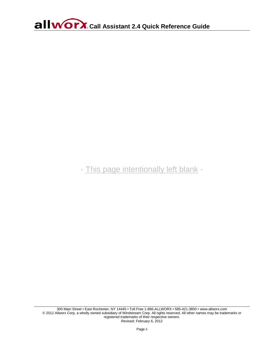- This page intentionally left blank -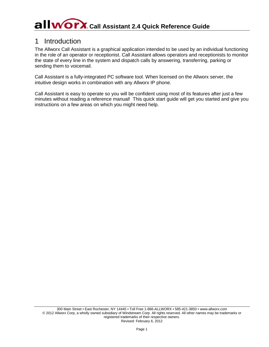## **Call WOYX** Call Assistant 2.4 Quick Reference Guide

### <span id="page-4-0"></span>1 Introduction

The Allworx Call Assistant is a graphical application intended to be used by an individual functioning in the role of an operator or receptionist. Call Assistant allows operators and receptionists to monitor the state of every line in the system and dispatch calls by answering, transferring, parking or sending them to voicemail.

Call Assistant is a fully-integrated PC software tool. When licensed on the Allworx server, the intuitive design works in combination with any Allworx IP phone.

Call Assistant is easy to operate so you will be confident using most of its features after just a few minutes without reading a reference manual! This quick start guide will get you started and give you instructions on a few areas on which you might need help.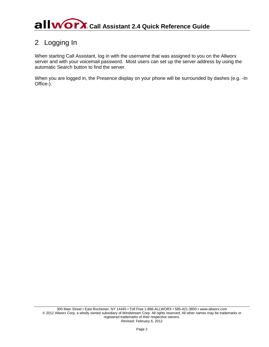### <span id="page-5-0"></span>2 Logging In

When starting Call Assistant, log in with the username that was assigned to you on the Allworx server and with your voicemail password. Most users can set up the server address by using the automatic Search button to find the server.

When you are logged in, the Presence display on your phone will be surrounded by dashes (e.g. -In Office-).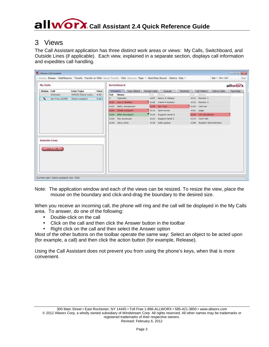## **Call WOYX** Call Assistant 2.4 Quick Reference Guide

### <span id="page-6-0"></span>3 Views

The Call Assistant application has three distinct work areas or views: My Calls, Switchboard, and Outside Lines (if applicable). Each view, explained in a separate section, displays call information and expedites call handling.

|                                         |                        |                   |      |      | Switchboard              |              |                        |      |                              | allworx   |
|-----------------------------------------|------------------------|-------------------|------|------|--------------------------|--------------|------------------------|------|------------------------------|-----------|
| <b>Status Call</b>                      |                        | Line/Type         | Time |      | Auto Attend<br>Directory | Parked Calls | Honitors<br>Queues     |      | Call History<br>Active Calls | Favorites |
| Unknown                                 |                        | (HOLD) Diane Lock | 4:52 | Ext  | Name                     |              | F.A. Manus             |      | Est: Hame                    |           |
| $\epsilon$                              | <b>Ian Troy (4109)</b> | Diane Lockport    | 4:46 | o    | Operator                 |              | 4107 Henry X Albany.   | 4131 | Monitor 1                    |           |
|                                         |                        |                   |      |      | 4101 Ann C Buffalo       |              | 4108 freme R Hudson    |      | 4132 Monitor 3               |           |
|                                         |                        |                   |      | 4102 | Betty Jamestown          |              | 4109 Ian Troy          |      | 4140 Call out                |           |
|                                         |                        |                   |      | 4103 | Diane Lockport           |              | 4110 Jane Rome         |      | 4161 page                    |           |
|                                         |                        |                   |      |      | 4104 Ellen Brockport     |              | A 4120 Support Level O |      | <b>4151 CR 163 phone</b>     |           |
|                                         |                        |                   |      |      | 4105 Fay Syracuse        |              | 4121 Support level 2   |      | 4170 Cord 480                |           |
|                                         |                        |                   |      |      | 4106 Gary Utica          |              | 4129 Sale Queue        |      | 4199 System Administrator    |           |
| <b>Outside Lines</b><br>$L$ me $L - 0L$ |                        |                   |      |      |                          |              |                        |      |                              |           |

Note: The application window and each of the views can be resized. To resize the view, place the mouse on the boundary and click-and-drag the boundary to the desired size.

When you receive an incoming call, the phone will ring and the call will be displayed in the My Calls area. To answer, do one of the following:

- Double-click on the call
- Click on the call and then click the Answer button in the toolbar
- Right click on the call and then select the Answer option

Most of the other buttons on the toolbar operate the same way: Select an object to be acted upon (for example, a call) and then click the action button (for example, Release).

Using the Call Assistant does not prevent you from using the phone's keys, when that is more convenient.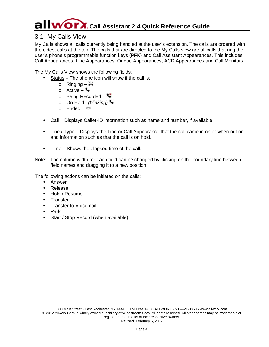## **Call WOYX** Call Assistant 2.4 Quick Reference Guide

#### <span id="page-7-0"></span>3.1 My Calls View

My Calls shows all calls currently being handled at the user's extension. The calls are ordered with the oldest calls at the top. The calls that are directed to the My Calls view are all calls that ring the user's phone's programmable function keys (PFK) and Call Assistant Appearances. This includes Call Appearances, Line Appearances, Queue Appearances, ACD Appearances and Call Monitors.

The My Calls View shows the following fields:

- Status The phone icon will show if the call is:
	- o Ringing  $\mathbb{H}$
	- o Active  $\blacklozenge$
	- o Being Recorded  $\blacksquare$
	- o On Hold– *(blinking)*
	- o Ended –
- Call Displays Caller-ID information such as name and number, if available.
- Line / Type Displays the Line or Call Appearance that the call came in on or when out on and information such as that the call is on hold.
- Time Shows the elapsed time of the call.
- Note: The column width for each field can be changed by clicking on the boundary line between field names and dragging it to a new position.

The following actions can be initiated on the calls:

- Answer
- Release
- Hold / Resume
- **Transfer** L.
- Transfer to Voicemail
- Park
- Start / Stop Record (when available)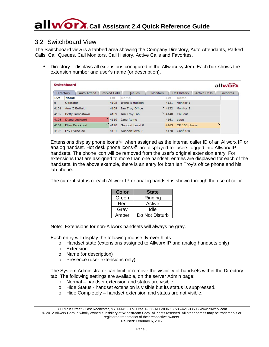#### <span id="page-8-0"></span>3.2 Switchboard View

The Switchboard view is a tabbed area showing the Company Directory, Auto Attendants, Parked Calls, Call Queues, Call Monitors, Call History, Active Calls and Favorites.

Directory – displays all extensions configured in the Allworx system. Each box shows the extension number and user's name (or description).

|         | <b>Switchboard</b>              |              |                       |                 |      |                      |                     | allworx          |
|---------|---------------------------------|--------------|-----------------------|-----------------|------|----------------------|---------------------|------------------|
|         | <b>Directory</b><br>Auto Attend | Parked Calls | <b>Oueues</b>         | <b>Monitors</b> |      | Call History         | <b>Active Calls</b> | <b>Favorites</b> |
| Ext     | <b>Name</b>                     | Ext          | Name                  |                 | Ext  | Name                 |                     |                  |
| $\circ$ | Operator                        | 4108         | <b>Irene R Hudson</b> |                 | 4131 | Monitor 1            |                     |                  |
| 4101    | Ann C Buffalo                   | 4109         | Ian Troy Office       |                 | 4132 | Monitor <sub>2</sub> |                     |                  |
| 4102    | <b>Betty Jamestown</b>          | 4109         | Ian Troy Lab          |                 |      | $4140$ Call out      |                     |                  |
| 4103    | Diane Lockport                  | 4110         | Jane Rome             |                 | 4161 | page                 |                     |                  |
| 4104    | Ellen Brockport                 | 4120         | Support Level 0       |                 | 4163 | CR 163 phone         |                     | t.               |
| 4105    | <b>Fay Syracuse</b>             | 4121         | Support level 2       |                 | 4170 | Conf 480             |                     |                  |

Extensions display phone icons W when assigned as the internal caller ID of an Allworx IP or analog handset. Hot desk phone icons  $\mathbf{r}^{\mu}$  are displayed for users logged into Allworx IP handsets. The phone icon will be removed from the user's original extension entry. For extensions that are assigned to more than one handset, entries are displayed for each of the handsets. In the above example, there is an entry for both Ian Troy's office phone and his lab phone.

The current status of each Allworx IP or analog handset is shown through the use of color:

| <b>Color</b> | <b>State</b>   |
|--------------|----------------|
| Green        | Ringing        |
| Red          | Active         |
| Gray         | Idle           |
| Amber        | Do Not Disturb |

Note: Extensions for non-Allworx handsets will always be gray.

Each entry will display the following mouse fly-over hints:

- o Handset state (extensions assigned to Allworx IP and analog handsets only)
- o Extension
- o Name (or description)
- o Presence (user extensions only)

The System Administrator can limit or remove the visibility of handsets within the Directory tab. The following settings are available, on the server Admin page:

- o Normal handset extension and status are visible.
- o Hide Status handset extension is visible but its status is suppressed.
- o Hide Completely handset extension and status are not visible.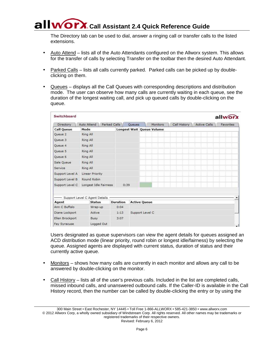### **COLLET A. Call Assistant 2.4 Quick Reference Guide**

The Directory tab can be used to dial, answer a ringing call or transfer calls to the listed extensions.

- Auto Attend lists all of the Auto Attendants configured on the Allworx system. This allows for the transfer of calls by selecting Transfer on the toolbar then the desired Auto Attendant.
- Parked Calls lists all calls currently parked. Parked calls can be picked up by doubleclicking on them.
- Queues displays all the Call Queues with corresponding descriptions and distribution mode. The user can observe how many calls are currently waiting in each queue, see the duration of the longest waiting call, and pick up queued calls by double-clicking on the queue.

| Switchboard       |                               |              |                 |        |                     |                                  |              |                     | allwor    |
|-------------------|-------------------------------|--------------|-----------------|--------|---------------------|----------------------------------|--------------|---------------------|-----------|
| Directory         | Auto Attend                   | Parked Calls |                 | Queues |                     | <b>Monitors</b>                  | Call History | <b>Active Calls</b> | Favorites |
| <b>Call Queue</b> | Mode                          |              |                 |        |                     | <b>Longest Wait Queue Volume</b> |              |                     |           |
| Queue 2           | Ring All                      |              |                 |        |                     |                                  |              |                     |           |
| Queue 3           | Ring All                      |              |                 |        |                     |                                  |              |                     |           |
| Queue 4           | Ring All                      |              |                 |        |                     |                                  |              |                     |           |
| Queue 5           | Ring All                      |              |                 |        |                     |                                  |              |                     |           |
| Oueue 6           | Ring All                      |              |                 |        |                     |                                  |              |                     |           |
| Sale Queue        | Ring All                      |              |                 |        |                     |                                  |              |                     |           |
| Service           | Ring All                      |              |                 |        |                     |                                  |              |                     |           |
| Support Level A   | Linear Priority               |              |                 |        |                     |                                  |              |                     |           |
| Support Level B   | Round Robin                   |              |                 |        |                     |                                  |              |                     |           |
| Support Level C   | Longest Idle Fairness         |              |                 | 0:39   |                     |                                  |              |                     |           |
|                   | Support Level C Agent Details |              |                 |        |                     |                                  |              |                     |           |
| Agent             | <b>Status</b>                 |              | <b>Duration</b> |        | <b>Active Queue</b> |                                  |              |                     |           |
| Ann C Buffalo     | Wrap-up                       |              | 0:04            |        |                     |                                  |              |                     |           |
| Diane Lockport    | Active                        |              | 1:13            |        | Support Level C     |                                  |              |                     |           |
| Ellen Brockport   | Busy                          |              | 3:07            |        |                     |                                  |              |                     |           |
| Fay Syracuse      | Logged Out                    |              |                 |        |                     |                                  |              |                     |           |

Users designated as queue supervisors can view the agent details for queues assigned an ACD distribution mode (linear priority, round robin or longest idle/fairness) by selecting the queue. Assigned agents are displayed with current status, duration of status and their currently active queue.

- Monitors shows how many calls are currently in each monitor and allows any call to be answered by double-clicking on the monitor.
- Call History lists all of the user's previous calls. Included in the list are completed calls, missed inbound calls, and unanswered outbound calls. If the Caller-ID is available in the Call History record, then the number can be called by double-clicking the entry or by using the

<sup>300</sup> Main Street • East Rochester, NY 14445 • Toll Free 1-866-ALLWORX • 585-421-3850 • www.allworx.com © 2012 Allworx Corp, a wholly owned subsidiary of Windstream Corp. All rights reserved. All other names may be trademarks or registered trademarks of their respective owners. Revised: February 6, 2012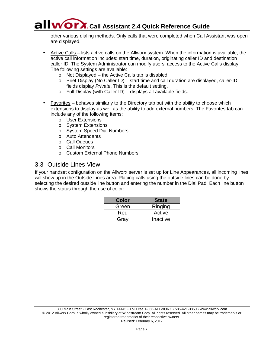### **Call Assistant 2.4 Quick Reference Guide**

other various dialing methods. Only calls that were completed when Call Assistant was open are displayed.

Active Calls – lists active calls on the Allworx system. When the information is available, the active call information includes: start time, duration, originating caller ID and destination caller ID. The System Administrator can modify users' access to the Active Calls display. The following settings are available:

- o Not Displayed the Active Calls tab is disabled.
- o Brief Display (No Caller ID) start time and call duration are displayed, caller-ID fields display *Private*. This is the default setting.
- o Full Display (with Caller ID) displays all available fields.
- Favorites behaves similarly to the Directory tab but with the ability to choose which extensions to display as well as the ability to add external numbers. The Favorites tab can include any of the following items:
	- o User Extensions
	- o System Extensions
	- o System Speed Dial Numbers
	- o Auto Attendants
	- o Call Queues
	- o Call Monitors
	- o Custom External Phone Numbers

#### <span id="page-10-0"></span>3.3 Outside Lines View

If your handset configuration on the Allworx server is set up for Line Appearances, all incoming lines will show up in the Outside Lines area. Placing calls using the outside lines can be done by selecting the desired outside line button and entering the number in the Dial Pad. Each line button shows the status through the use of color:

| Color | <b>State</b> |
|-------|--------------|
| Green | Ringing      |
| Red   | Active       |
| Gray  | Inactive     |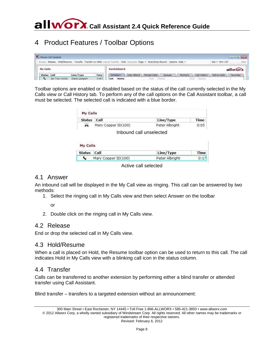### <span id="page-11-0"></span>4 Product Features / Toolbar Options

| Allwon: Call Assistant                                                                                                       |                |      |             |             |              |        |          |              |                | $\sim$ $\sim$ |
|------------------------------------------------------------------------------------------------------------------------------|----------------|------|-------------|-------------|--------------|--------|----------|--------------|----------------|---------------|
| Answer Release Hold/Resume. Transfer Transfer to VMail Cancel Transfer Park Intercom Page . Start/Stop Record Options Help . |                |      |             |             |              |        |          |              | Dul . New Call | Clear.        |
| My Calls                                                                                                                     |                |      | Switchboard |             |              |        |          |              |                | allworx       |
| Status Call                                                                                                                  | Line/Type      | Time | Directory   | Auto Attend | Parked Calls | Queues | Monitors | Call History | Active Calls   | Favorites     |
| Ian Troy (4109)                                                                                                              | Diane Lockport | 4:46 | Ext<br>Name |             | Est          |        |          | Ext: Name    |                |               |

Toolbar options are enabled or disabled based on the status of the call currently selected in the My Calls view or Call History tab. To perform any of the call options on the Call Assistant toolbar, a call must be selected. The selected call is indicated with a blue border.

| Status Call |                     | Line/Type      | Time |
|-------------|---------------------|----------------|------|
| ₩           | Mary Copper ID(100) | Peter Albright | 0:05 |

Inbound call unselected

| My Calls    |                     |                |      |
|-------------|---------------------|----------------|------|
| Status Call |                     | Line/Type      | Time |
|             | Mary Copper ID(100) | Peter Albright | 0:17 |

Active call selected

#### <span id="page-11-1"></span>4.1 Answer

An inbound call will be displayed in the My Call view as ringing. This call can be answered by two methods:

1. Select the ringing call in My Calls view and then select Answer on the toolbar

or

2. Double click on the ringing call in My Calls view.

#### <span id="page-11-2"></span>4.2 Release

<span id="page-11-3"></span>End or drop the selected call in My Calls view.

#### 4.3 Hold/Resume

When a call is placed on Hold, the Resume toolbar option can be used to return to this call. The call indicates Hold in My Calls view with a blinking call icon in the status column.

#### <span id="page-11-4"></span>4.4 Transfer

Calls can be transferred to another extension by performing either a blind transfer or attended transfer using Call Assistant.

Blind transfer – transfers to a targeted extension without an announcement: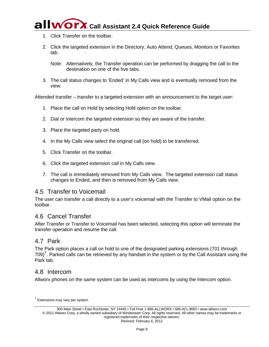## **WOYX** Call Assistant 2.4 Quick Reference Guide

- 1. Click Transfer on the toolbar.
- 2. Click the targeted extension in the Directory, Auto Attend, Queues, Monitors or Favorites tab.

Note: Alternatively, the Transfer operation can be performed by dragging the call to the destination on one of the five tabs.

3. The call status changes to 'Ended' in My Calls view and is eventually removed from the view.

Attended transfer – transfer to a targeted extension with an announcement to the target user:

- 1. Place the call on Hold by selecting Hold option on the toolbar.
- 2. Dial or intercom the targeted extension so they are aware of the transfer.
- 3. Place the targeted party on hold.
- 4. In the My Calls view select the original call (on hold) to be transferred.
- 5. Click Transfer on the toolbar.
- 6. Click the targeted extension call in My Calls view.
- 7. The call is immediately removed from My Calls view. The targeted extension call status changes to Ended, and then is removed from My Calls view.

#### <span id="page-12-0"></span>4.5 Transfer to Voicemail

The user can transfer a call directly to a user's voicemail with the Transfer to VMail option on the toolbar.

#### <span id="page-12-1"></span>4.6 Cancel Transfer

After Transfer or Transfer to Voicemail has been selected, selecting this option will terminate the transfer operation and resume the call.

#### <span id="page-12-2"></span>4.7 Park

The Park option places a call on hold to one of the designated parking extensions (701 through  $709)$ <sup>[†](#page-12-4)</sup>. Parked calls can be retrieved by any handset in the system or by the Call Assistant using the Park tab.

#### <span id="page-12-3"></span>4.8 Intercom

Allworx phones on the same system can be used as intercoms by using the Intercom option.

<span id="page-12-4"></span><sup>&</sup>lt;sup>†</sup> Extensions may vary per system.

<sup>300</sup> Main Street • East Rochester, NY 14445 • Toll Free 1-866-ALLWORX • 585-421-3850 • www.allworx.com © 2012 Allworx Corp, a wholly owned subsidiary of Windstream Corp. All rights reserved. All other names may be trademarks or registered trademarks of their respective owners. Revised: February 6, 2012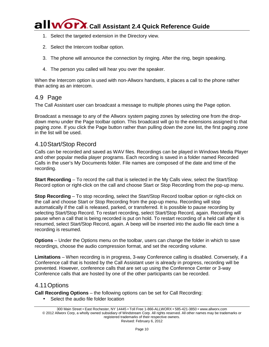## **Allworx** Call Assistant 2.4 Quick Reference Guide

- 1. Select the targeted extension in the Directory view.
- 2. Select the Intercom toolbar option.
- 3. The phone will announce the connection by ringing. After the ring, begin speaking.
- 4. The person you called will hear you over the speaker.

When the Intercom option is used with non-Allworx handsets, it places a call to the phone rather than acting as an intercom.

#### <span id="page-13-0"></span>4.9 Page

The Call Assistant user can broadcast a message to multiple phones using the Page option.

Broadcast a message to any of the Allworx system paging zones by selecting one from the dropdown menu under the Page toolbar option. This broadcast will go to the extensions assigned to that paging zone. If you click the Page button rather than pulling down the zone list, the first paging zone in the list will be used.

#### <span id="page-13-1"></span>4.10Start/Stop Record

Calls can be recorded and saved as WAV files. Recordings can be played in Windows Media Player and other popular media player programs. Each recording is saved in a folder named Recorded Calls in the user's My Documents folder. File names are composed of the date and time of the recording.

**Start Recording** – To record the call that is selected in the My Calls view, select the Start/Stop Record option or right-click on the call and choose Start or Stop Recording from the pop-up menu.

**Stop Recording** – To stop recording, select the Start/Stop Record toolbar option or right-click on the call and choose Start or Stop Recording from the pop-up menu. Recording will stop automatically if the call is released, parked, or transferred. It is possible to pause recording by selecting Start/Stop Record. To restart recording, select Start/Stop Record, again. Recording will pause when a call that is being recorded is put on hold. To restart recording of a held call after it is resumed, select Start/Stop Record, again. A beep will be inserted into the audio file each time a recording is resumed.

**Options** – Under the Options menu on the toolbar, users can change the folder in which to save recordings, choose the audio compression format, and set the recording volume.

**Limitations** – When recording is in progress, 3-way Conference calling is disabled. Conversely, if a Conference call that is hosted by the Call Assistant user is already in progress, recording will be prevented. However, conference calls that are set up using the Conference Center or 3-way Conference calls that are hosted by one of the other participants can be recorded.

#### <span id="page-13-2"></span>4.11Options

**Call Recording Options** – the following options can be set for Call Recording:

Select the audio file folder location

<sup>300</sup> Main Street • East Rochester, NY 14445 • Toll Free 1-866-ALLWORX • 585-421-3850 • www.allworx.com © 2012 Allworx Corp, a wholly owned subsidiary of Windstream Corp. All rights reserved. All other names may be trademarks or registered trademarks of their respective owners. Revised: February 6, 2012